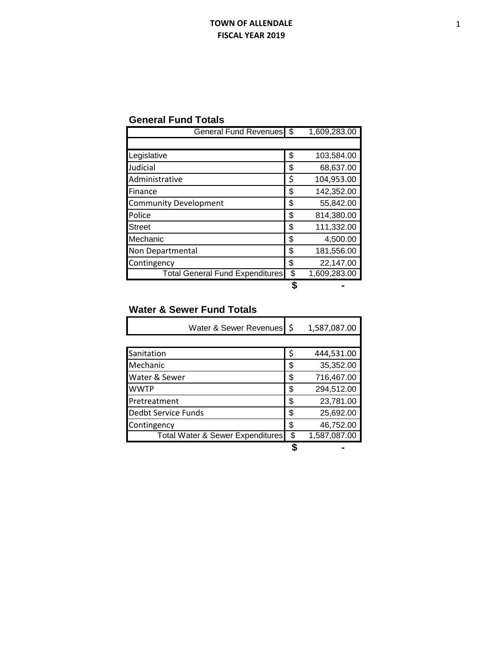## **TOWN OF ALLENDALE FISCAL YEAR 2019**

| <b>General Fund Totals</b> |  |  |
|----------------------------|--|--|
|----------------------------|--|--|

| <b>General Fund Revenues</b>           | \$<br>1,609,283.00 |
|----------------------------------------|--------------------|
|                                        |                    |
| Legislative                            | \$<br>103,584.00   |
| Judicial                               | \$<br>68,637.00    |
| Administrative                         | \$<br>104,953.00   |
| Finance                                | \$<br>142,352.00   |
| <b>Community Development</b>           | \$<br>55,842.00    |
| Police                                 | \$<br>814,380.00   |
| <b>Street</b>                          | \$<br>111,332.00   |
| Mechanic                               | \$<br>4,500.00     |
| Non Departmental                       | \$<br>181,556.00   |
| Contingency                            | \$<br>22,147.00    |
| <b>Total General Fund Expenditures</b> | \$<br>1,609,283.00 |
|                                        |                    |

## **Water & Sewer Fund Totals**

| Water & Sewer Revenues                      | l \$ | 1,587,087.00 |
|---------------------------------------------|------|--------------|
|                                             |      |              |
| Sanitation                                  | \$   | 444,531.00   |
| Mechanic                                    | \$   | 35,352.00    |
| Water & Sewer                               | \$   | 716,467.00   |
| <b>WWTP</b>                                 | \$   | 294,512.00   |
| Pretreatment                                | \$   | 23,781.00    |
| Dedbt Service Funds                         | \$   | 25,692.00    |
| Contingency                                 | \$   | 46,752.00    |
| <b>Total Water &amp; Sewer Expenditures</b> | \$   | 1,587,087.00 |
|                                             |      |              |

1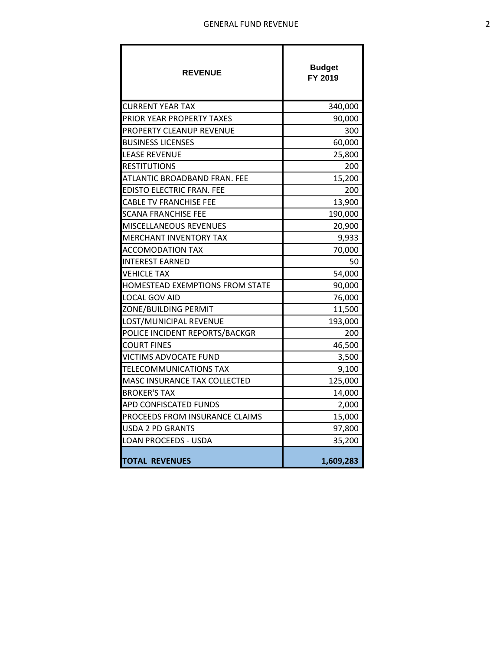| <b>REVENUE</b>                   | <b>Budget</b><br>FY 2019 |
|----------------------------------|--------------------------|
| <b>CURRENT YEAR TAX</b>          | 340,000                  |
| PRIOR YEAR PROPERTY TAXES        | 90,000                   |
| PROPERTY CLEANUP REVENUE         | 300                      |
| <b>BUSINESS LICENSES</b>         | 60,000                   |
| <b>LEASE REVENUE</b>             | 25,800                   |
| <b>RESTITUTIONS</b>              | 200                      |
| ATLANTIC BROADBAND FRAN. FEE     | 15,200                   |
| <b>EDISTO ELECTRIC FRAN. FEE</b> | 200                      |
| <b>CABLE TV FRANCHISE FEE</b>    | 13,900                   |
| <b>SCANA FRANCHISE FEE</b>       | 190,000                  |
| MISCELLANEOUS REVENUES           | 20,900                   |
| <b>MERCHANT INVENTORY TAX</b>    | 9,933                    |
| <b>ACCOMODATION TAX</b>          | 70,000                   |
| <b>INTEREST EARNED</b>           | 50                       |
| <b>VEHICLE TAX</b>               | 54,000                   |
| HOMESTEAD EXEMPTIONS FROM STATE  | 90,000                   |
| LOCAL GOV AID                    | 76,000                   |
| ZONE/BUILDING PERMIT             | 11,500                   |
| LOST/MUNICIPAL REVENUE           | 193,000                  |
| POLICE INCIDENT REPORTS/BACKGR   | 200                      |
| <b>COURT FINES</b>               | 46,500                   |
| <b>VICTIMS ADVOCATE FUND</b>     | 3,500                    |
| TELECOMMUNICATIONS TAX           | 9,100                    |
| MASC INSURANCE TAX COLLECTED     | 125,000                  |
| <b>BROKER'S TAX</b>              | 14,000                   |
| APD CONFISCATED FUNDS            | 2,000                    |
| PROCEEDS FROM INSURANCE CLAIMS   | 15,000                   |
| <b>USDA 2 PD GRANTS</b>          | 97,800                   |
| <b>LOAN PROCEEDS - USDA</b>      | 35,200                   |
| <b>TOTAL REVENUES</b>            | 1,609,283                |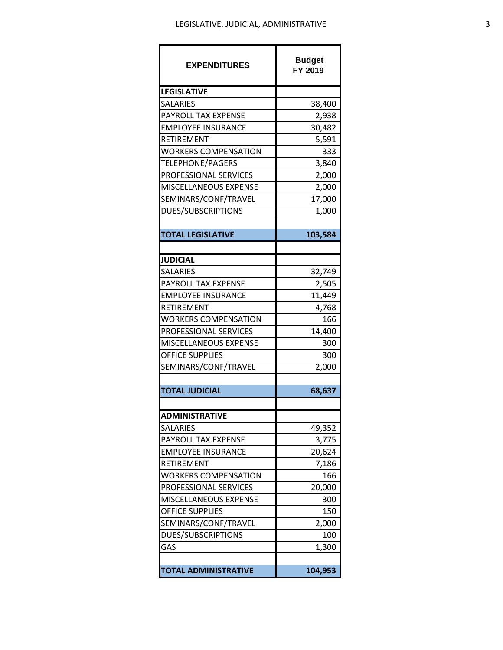| <b>EXPENDITURES</b>         | <b>Budget</b><br>FY 2019 |
|-----------------------------|--------------------------|
| <b>LEGISLATIVE</b>          |                          |
| SALARIES                    | 38,400                   |
| PAYROLL TAX EXPENSE         | 2,938                    |
| <b>EMPLOYEE INSURANCE</b>   | 30,482                   |
| RETIREMENT                  | 5,591                    |
| WORKERS COMPENSATION        | 333                      |
| TELEPHONE/PAGERS            | 3,840                    |
| PROFESSIONAL SERVICES       | 2,000                    |
| MISCELLANEOUS EXPENSE       | 2,000                    |
| SEMINARS/CONF/TRAVEL        | 17,000                   |
| DUES/SUBSCRIPTIONS          | 1,000                    |
|                             |                          |
| <b>TOTAL LEGISLATIVE</b>    | 103,584                  |
|                             |                          |
| <b>JUDICIAL</b>             |                          |
| SALARIES                    | 32,749                   |
| PAYROLL TAX EXPENSE         | 2,505                    |
| <b>EMPLOYEE INSURANCE</b>   | 11,449                   |
| RETIREMENT                  | 4,768                    |
| WORKERS COMPENSATION        | 166                      |
| PROFESSIONAL SERVICES       | 14,400                   |
| MISCELLANEOUS EXPENSE       | 300                      |
| <b>OFFICE SUPPLIES</b>      | 300                      |
| SEMINARS/CONF/TRAVEL        | 2,000                    |
|                             |                          |
| <b>TOTAL JUDICIAL</b>       | 68,637                   |
| <b>ADMINISTRATIVE</b>       |                          |
| SALARIES                    | 49,352                   |
| PAYROLL TAX EXPENSE         | 3,775                    |
| <b>EMPLOYEE INSURANCE</b>   | 20,624                   |
| RETIREMENT                  | 7,186                    |
| WORKERS COMPENSATION        | 166                      |
| PROFESSIONAL SERVICES       | 20,000                   |
| MISCELLANEOUS EXPENSE       | 300                      |
| <b>OFFICE SUPPLIES</b>      | 150                      |
| SEMINARS/CONF/TRAVEL        | 2,000                    |
| <b>DUES/SUBSCRIPTIONS</b>   | 100                      |
| GAS                         | 1,300                    |
|                             |                          |
| <b>TOTAL ADMINISTRATIVE</b> | 104,953                  |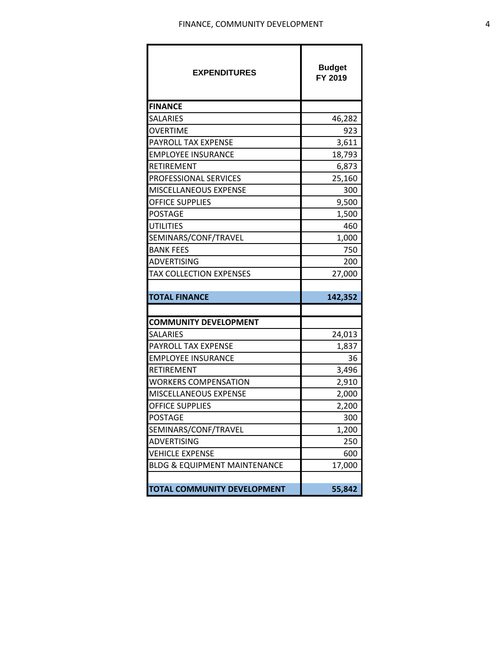| <b>EXPENDITURES</b>                     | <b>Budget</b><br>FY 2019 |
|-----------------------------------------|--------------------------|
| <b>FINANCE</b>                          |                          |
| SALARIES                                | 46,282                   |
| OVERTIME                                | 923                      |
| PAYROLL TAX EXPENSE                     | 3,611                    |
| <b>EMPLOYEE INSURANCE</b>               | 18,793                   |
| RETIREMENT                              | 6,873                    |
| PROFESSIONAL SERVICES                   | 25,160                   |
| MISCELLANEOUS EXPENSE                   | 300                      |
| OFFICE SUPPLIES                         | 9,500                    |
| <b>POSTAGE</b>                          | 1,500                    |
| <b>UTILITIES</b>                        | 460                      |
| SEMINARS/CONF/TRAVEL                    | 1,000                    |
| <b>BANK FEES</b>                        | 750                      |
| ADVERTISING                             | 200                      |
| TAX COLLECTION EXPENSES                 | 27,000                   |
| <b>TOTAL FINANCE</b>                    | 142,352                  |
|                                         |                          |
| <b>COMMUNITY DEVELOPMENT</b>            |                          |
| <b>SALARIES</b>                         | 24,013                   |
| PAYROLL TAX EXPENSE                     | 1,837                    |
| EMPLOYEE INSURANCE                      | 36                       |
| RETIREMENT                              | 3,496                    |
| WORKERS COMPENSATION                    | 2,910                    |
| MISCELLANEOUS EXPENSE                   | 2,000                    |
| <b>OFFICE SUPPLIES</b>                  | 2,200                    |
| <b>POSTAGE</b>                          | 300                      |
| SEMINARS/CONF/TRAVEL                    | 1,200                    |
| ADVERTISING                             | 250                      |
| <b>VEHICLE EXPENSE</b>                  | 600                      |
| <b>BLDG &amp; EQUIPMENT MAINTENANCE</b> | 17,000                   |
|                                         |                          |
| TOTAL COMMUNITY DEVELOPMENT             | 55,842                   |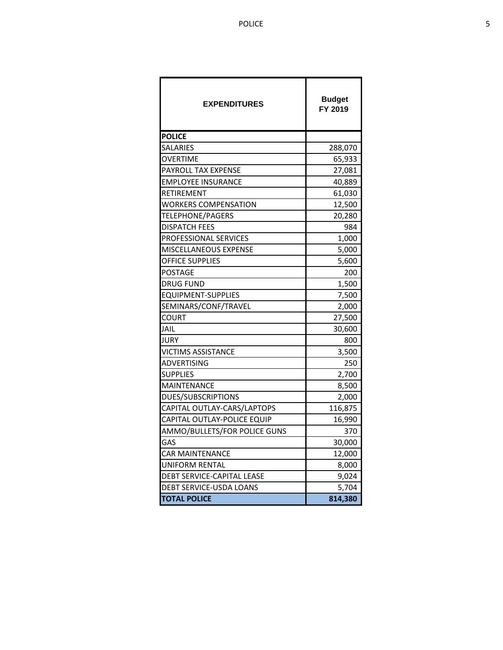| <b>EXPENDITURES</b>          | <b>Budget</b><br>FY 2019 |
|------------------------------|--------------------------|
| <b>POLICE</b>                |                          |
| <b>SALARIES</b>              | 288,070                  |
| <b>OVERTIME</b>              | 65,933                   |
| PAYROLL TAX EXPENSE          | 27,081                   |
| <b>EMPLOYEE INSURANCE</b>    | 40,889                   |
| RETIREMENT                   | 61,030                   |
| <b>WORKERS COMPENSATION</b>  | 12,500                   |
| TELEPHONE/PAGERS             | 20,280                   |
| <b>DISPATCH FEES</b>         | 984                      |
| PROFESSIONAL SERVICES        | 1,000                    |
| MISCELLANEOUS EXPENSE        | 5,000                    |
| <b>OFFICE SUPPLIES</b>       | 5,600                    |
| POSTAGE                      | 200                      |
| <b>DRUG FUND</b>             | 1,500                    |
| <b>EQUIPMENT-SUPPLIES</b>    | 7,500                    |
| SEMINARS/CONF/TRAVEL         | 2,000                    |
| COURT                        | 27,500                   |
| <b>JAIL</b>                  | 30,600                   |
| <b>JURY</b>                  | 800                      |
| <b>VICTIMS ASSISTANCE</b>    | 3,500                    |
| ADVERTISING                  | 250                      |
| <b>SUPPLIES</b>              | 2,700                    |
| <b>MAINTENANCE</b>           | 8,500                    |
| <b>DUES/SUBSCRIPTIONS</b>    | 2,000                    |
| CAPITAL OUTLAY-CARS/LAPTOPS  | 116,875                  |
| CAPITAL OUTLAY-POLICE EQUIP  | 16,990                   |
| AMMO/BULLETS/FOR POLICE GUNS | 370                      |
| GAS                          | 30,000                   |
| <b>CAR MAINTENANCE</b>       | 12,000                   |
| UNIFORM RENTAL               | 8,000                    |
| DEBT SERVICE-CAPITAL LEASE   | 9,024                    |
| DEBT SERVICE-USDA LOANS      | 5,704                    |
| <b>TOTAL POLICE</b>          | 814,380                  |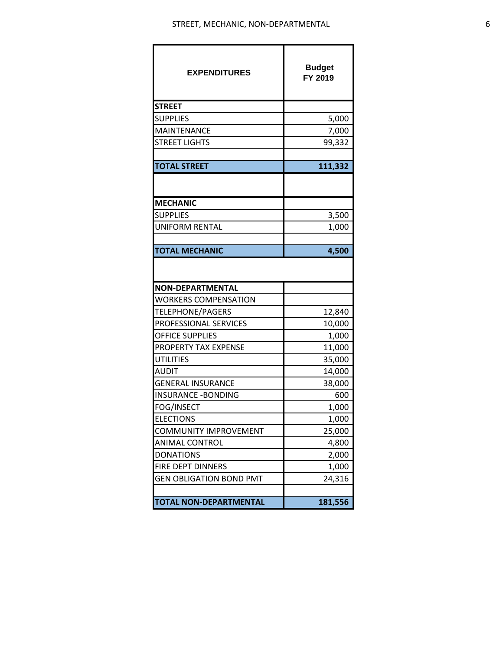| <b>EXPENDITURES</b>            | <b>Budget</b><br>FY 2019 |
|--------------------------------|--------------------------|
| <b>STREET</b>                  |                          |
| <b>SUPPLIES</b>                | 5,000                    |
| MAINTENANCE                    | 7,000                    |
| <b>STREET LIGHTS</b>           | 99,332                   |
|                                |                          |
| <b>TOTAL STREET</b>            | 111,332                  |
|                                |                          |
| <b>MECHANIC</b>                |                          |
| <b>SUPPLIES</b>                | 3,500                    |
| <b>UNIFORM RENTAL</b>          | 1,000                    |
|                                |                          |
| <b>TOTAL MECHANIC</b>          | 4,500                    |
|                                |                          |
| <b>NON-DEPARTMENTAL</b>        |                          |
| <b>WORKERS COMPENSATION</b>    |                          |
| TELEPHONE/PAGERS               | 12,840                   |
| PROFESSIONAL SERVICES          | 10,000                   |
| <b>OFFICE SUPPLIES</b>         | 1,000                    |
| PROPERTY TAX EXPENSE           | 11,000                   |
| <b>UTILITIES</b>               | 35,000                   |
| <b>AUDIT</b>                   | 14,000                   |
| <b>GENERAL INSURANCE</b>       | 38,000                   |
| <b>INSURANCE - BONDING</b>     | 600                      |
| <b>FOG/INSECT</b>              | 1,000                    |
| <b>ELECTIONS</b>               | 1,000                    |
| <b>COMMUNITY IMPROVEMENT</b>   | 25,000                   |
| <b>ANIMAL CONTROL</b>          | 4,800                    |
| <b>DONATIONS</b>               | 2,000                    |
| FIRE DEPT DINNERS              | 1,000                    |
| <b>GEN OBLIGATION BOND PMT</b> | 24,316                   |
| <b>TOTAL NON-DEPARTMENTAL</b>  | 181,556                  |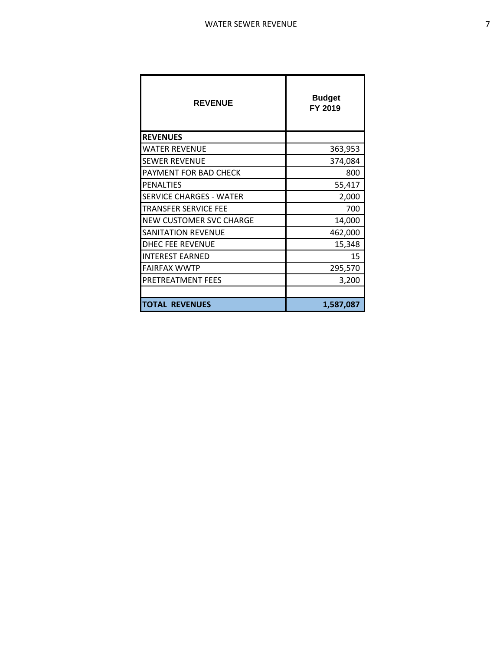| <b>REVENUE</b>                 | <b>Budget</b><br>FY 2019 |
|--------------------------------|--------------------------|
| <b>REVENUES</b>                |                          |
| WATER REVENUE                  | 363,953                  |
| SEWER REVENUE                  | 374,084                  |
| PAYMENT FOR BAD CHECK          | 800                      |
| PENALTIES                      | 55,417                   |
| <b>SERVICE CHARGES - WATER</b> | 2,000                    |
| TRANSFER SERVICE FEE           | 700                      |
| NEW CUSTOMER SVC CHARGE        | 14,000                   |
| <b>SANITATION REVENUE</b>      | 462,000                  |
| <b>DHEC FEE REVENUE</b>        | 15,348                   |
| INTEREST EARNED                | 15                       |
| <b>FAIRFAX WWTP</b>            | 295,570                  |
| PRETREATMENT FEES              | 3,200                    |
|                                |                          |
| <b>TOTAL REVENUES</b>          | 1,587,087                |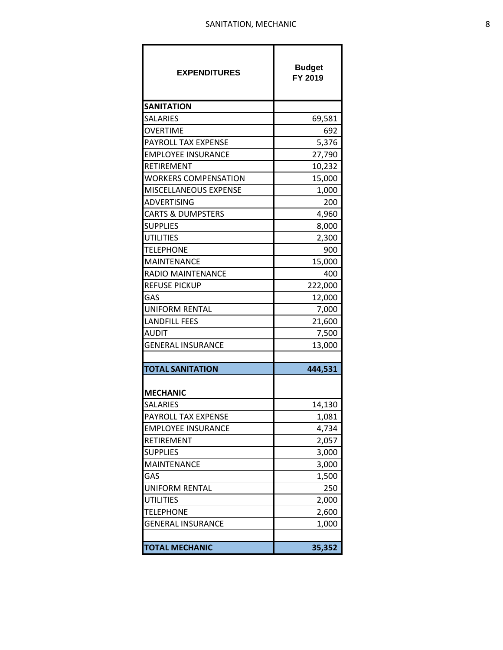| <b>EXPENDITURES</b>          | <b>Budget</b><br>FY 2019 |
|------------------------------|--------------------------|
| <b>SANITATION</b>            |                          |
| <b>SALARIES</b>              | 69,581                   |
| <b>OVERTIME</b>              | 692                      |
| PAYROLL TAX EXPENSE          | 5,376                    |
| <b>EMPLOYEE INSURANCE</b>    | 27,790                   |
| <b>RETIREMENT</b>            | 10,232                   |
| <b>WORKERS COMPENSATION</b>  | 15,000                   |
| MISCELLANEOUS EXPENSE        | 1,000                    |
| <b>ADVERTISING</b>           | 200                      |
| <b>CARTS &amp; DUMPSTERS</b> | 4,960                    |
| <b>SUPPLIES</b>              | 8,000                    |
| <b>UTILITIES</b>             | 2,300                    |
| <b>TELEPHONE</b>             | 900                      |
| <b>MAINTENANCE</b>           | 15,000                   |
| <b>RADIO MAINTENANCE</b>     | 400                      |
| <b>REFUSE PICKUP</b>         | 222,000                  |
| GAS                          | 12,000                   |
| <b>UNIFORM RENTAL</b>        | 7,000                    |
| <b>LANDFILL FEES</b>         | 21,600                   |
| <b>AUDIT</b>                 | 7,500                    |
| <b>GENERAL INSURANCE</b>     | 13,000                   |
|                              |                          |
| <b>TOTAL SANITATION</b>      | 444,531                  |
| <b>MECHANIC</b>              |                          |
| <b>SALARIES</b>              | 14,130                   |
| <b>PAYROLL TAX EXPENSE</b>   | 1,081                    |
| <b>EMPLOYEE INSURANCE</b>    | 4,734                    |
| RETIREMENT                   | 2,057                    |
| <b>SUPPLIES</b>              | 3,000                    |
| <b>MAINTENANCE</b>           | 3,000                    |
| GAS                          | 1,500                    |
| <b>UNIFORM RENTAL</b>        | 250                      |
| <b>UTILITIES</b>             | 2,000                    |
| <b>TELEPHONE</b>             | 2,600                    |
| <b>GENERAL INSURANCE</b>     | 1,000                    |
|                              |                          |
| <b>TOTAL MECHANIC</b>        | 35,352                   |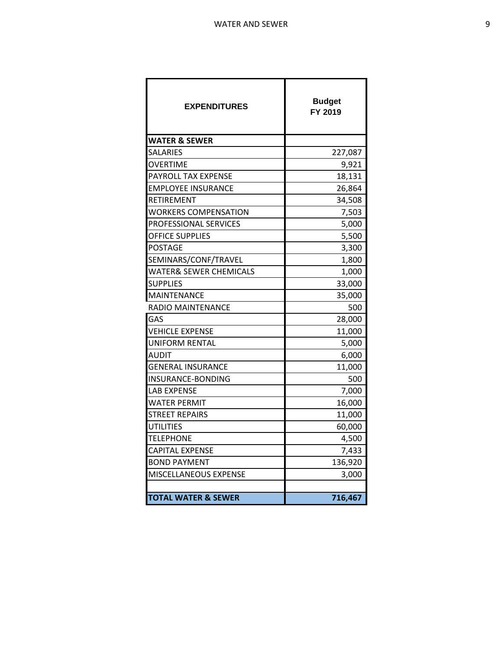| <b>EXPENDITURES</b>               | <b>Budget</b><br>FY 2019 |
|-----------------------------------|--------------------------|
| <b>WATER &amp; SEWER</b>          |                          |
| <b>SALARIES</b>                   | 227,087                  |
| OVERTIME                          | 9,921                    |
| PAYROLL TAX EXPENSE               | 18,131                   |
| <b>EMPLOYEE INSURANCE</b>         | 26,864                   |
| <b>RETIREMENT</b>                 | 34,508                   |
| <b>WORKERS COMPENSATION</b>       | 7,503                    |
| PROFESSIONAL SERVICES             | 5,000                    |
| <b>OFFICE SUPPLIES</b>            | 5,500                    |
| <b>POSTAGE</b>                    | 3,300                    |
| SEMINARS/CONF/TRAVEL              | 1,800                    |
| <b>WATER&amp; SEWER CHEMICALS</b> | 1,000                    |
| <b>SUPPLIES</b>                   | 33,000                   |
| <b>MAINTENANCE</b>                | 35,000                   |
| RADIO MAINTENANCE                 | 500                      |
| GAS                               | 28,000                   |
| <b>VEHICLE EXPENSE</b>            | 11,000                   |
| UNIFORM RENTAL                    | 5,000                    |
| <b>AUDIT</b>                      | 6,000                    |
| <b>GENERAL INSURANCE</b>          | 11,000                   |
| INSURANCE-BONDING                 | 500                      |
| <b>LAB EXPENSE</b>                | 7,000                    |
| <b>WATER PERMIT</b>               | 16,000                   |
| <b>STREET REPAIRS</b>             | 11,000                   |
| <b>UTILITIES</b>                  | 60,000                   |
| <b>TELEPHONE</b>                  | 4,500                    |
| <b>CAPITAL EXPENSE</b>            | 7,433                    |
| <b>BOND PAYMENT</b>               | 136,920                  |
| MISCELLANEOUS EXPENSE             | 3,000                    |
|                                   |                          |
| <b>TOTAL WATER &amp; SEWER</b>    | 716,467                  |